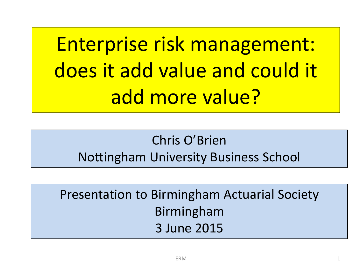Enterprise risk management: does it add value and could it add more value?

#### Chris O'Brien Nottingham University Business School

Presentation to Birmingham Actuarial Society Birmingham 3 June 2015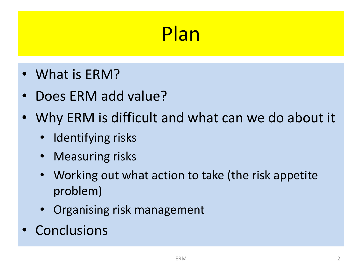#### Plan

- What is ERM?
- Does ERM add value?
- Why ERM is difficult and what can we do about it
	- Identifying risks
	- Measuring risks
	- Working out what action to take (the risk appetite problem)
	- Organising risk management
- Conclusions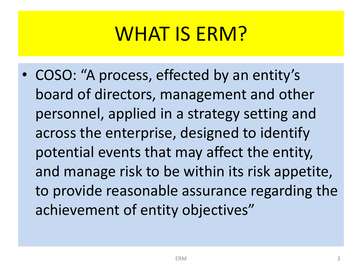#### WHAT IS ERM?

• COSO: "A process, effected by an entity's board of directors, management and other personnel, applied in a strategy setting and across the enterprise, designed to identify potential events that may affect the entity, and manage risk to be within its risk appetite, to provide reasonable assurance regarding the achievement of entity objectives"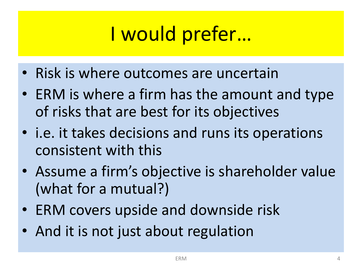### I would prefer…

- Risk is where outcomes are uncertain
- ERM is where a firm has the amount and type of risks that are best for its objectives
- i.e. it takes decisions and runs its operations consistent with this
- Assume a firm's objective is shareholder value (what for a mutual?)
- ERM covers upside and downside risk
- And it is not just about regulation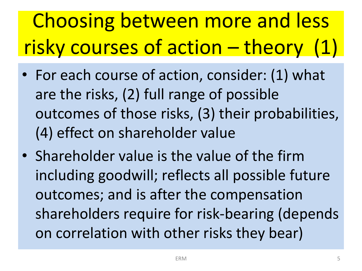# Choosing between more and less risky courses of action – theory (1)

- For each course of action, consider: (1) what are the risks, (2) full range of possible outcomes of those risks, (3) their probabilities, (4) effect on shareholder value
- Shareholder value is the value of the firm including goodwill; reflects all possible future outcomes; and is after the compensation shareholders require for risk-bearing (depends on correlation with other risks they bear)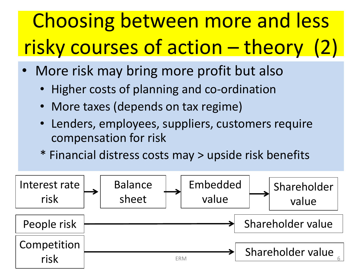# Choosing between more and less risky courses of action – theory (2)

- More risk may bring more profit but also
	- Higher costs of planning and co-ordination
	- More taxes (depends on tax regime)
	- Lenders, employees, suppliers, customers require compensation for risk
	- \* Financial distress costs may > upside risk benefits

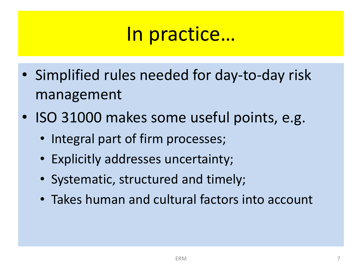#### In practice…

- Simplified rules needed for day-to-day risk management
- ISO 31000 makes some useful points, e.g.
	- Integral part of firm processes;
	- Explicitly addresses uncertainty;
	- Systematic, structured and timely;
	- Takes human and cultural factors into account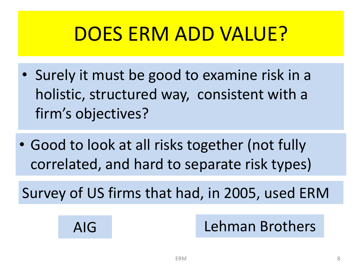#### DOES ERM ADD VALUE?

- Surely it must be good to examine risk in a holistic, structured way, consistent with a firm's objectives?
- Good to look at all risks together (not fully correlated, and hard to separate risk types)

Survey of US firms that had, in 2005, used ERM

#### AIG Lehman Brothers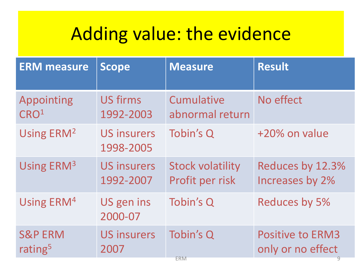#### Adding value: the evidence

| <b>ERM measure</b>     | <b>Scope</b>                    | <b>Measure</b>          | <b>Result</b>           |
|------------------------|---------------------------------|-------------------------|-------------------------|
| <b>Appointing</b>      | <b>US firms</b>                 | Cumulative              | No effect               |
| CRO <sup>1</sup>       | 1992-2003                       | abnormal return         |                         |
| Using ERM <sup>2</sup> | <b>US insurers</b><br>1998-2005 | Tobin's Q               | +20% on value           |
| Using ERM <sup>3</sup> | <b>US insurers</b>              | <b>Stock volatility</b> | Reduces by 12.3%        |
|                        | 1992-2007                       | Profit per risk         | Increases by 2%         |
| Using ERM <sup>4</sup> | US gen ins<br>2000-07           | Tobin's Q               | <b>Reduces by 5%</b>    |
| <b>S&amp;P ERM</b>     | <b>US insurers</b>              | Tobin's Q               | <b>Positive to ERM3</b> |
| rating <sup>5</sup>    | 2007                            | <b>ERM</b>              | only or no effect       |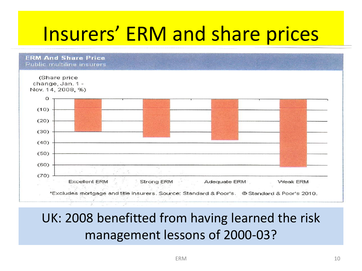#### Insurers' ERM and share prices

**ERM And Share Price** Public multiline insurers



#### UK: 2008 benefitted from having learned the risk management lessons of 2000-03?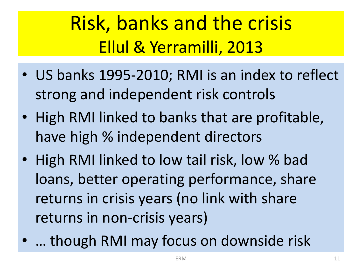### Risk, banks and the crisis Ellul & Yerramilli, 2013

- US banks 1995-2010; RMI is an index to reflect strong and independent risk controls
- High RMI linked to banks that are profitable, have high % independent directors
- High RMI linked to low tail risk, low % bad loans, better operating performance, share returns in crisis years (no link with share returns in non-crisis years)
- … though RMI may focus on downside risk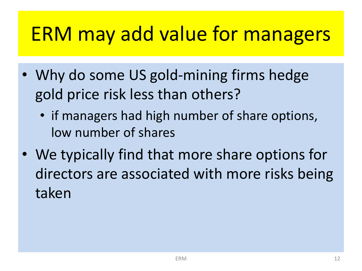#### ERM may add value for managers

- Why do some US gold-mining firms hedge gold price risk less than others?
	- if managers had high number of share options, low number of shares
- We typically find that more share options for directors are associated with more risks being taken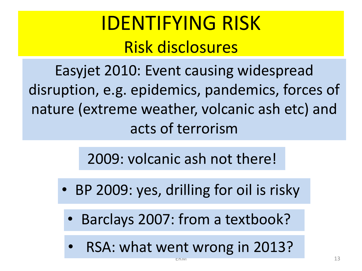#### IDENTIFYING RISK Risk disclosures

Easyjet 2010: Event causing widespread disruption, e.g. epidemics, pandemics, forces of nature (extreme weather, volcanic ash etc) and acts of terrorism

2009: volcanic ash not there!

- BP 2009: yes, drilling for oil is risky
	- Barclays 2007: from a textbook?
	- RSA: what went wrong in 2013?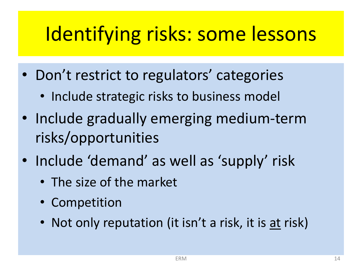#### Identifying risks: some lessons

- Don't restrict to regulators' categories
	- Include strategic risks to business model
- Include gradually emerging medium-term risks/opportunities
- Include 'demand' as well as 'supply' risk
	- The size of the market
	- Competition
	- Not only reputation (it isn't a risk, it is at risk)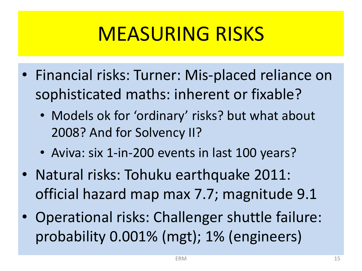### MEASURING RISKS

- Financial risks: Turner: Mis-placed reliance on sophisticated maths: inherent or fixable?
	- Models ok for 'ordinary' risks? but what about 2008? And for Solvency II?
	- Aviva: six 1-in-200 events in last 100 years?
- Natural risks: Tohuku earthquake 2011: official hazard map max 7.7; magnitude 9.1
- Operational risks: Challenger shuttle failure: probability 0.001% (mgt); 1% (engineers)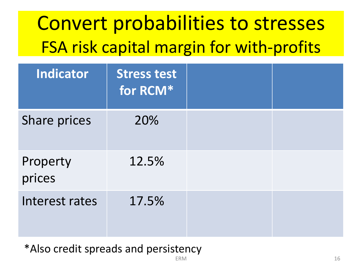| <b>Indicator</b>   | <b>Stress test</b><br>for RCM* |  |
|--------------------|--------------------------------|--|
| Share prices       | 20%                            |  |
| Property<br>prices | 12.5%                          |  |
| Interest rates     | 17.5%                          |  |

#### \*Also credit spreads and persistency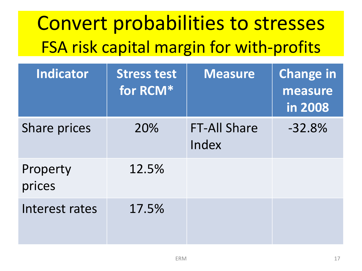| Indicator          | <b>Stress test</b><br>for RCM* | <b>Measure</b>               | <b>Change in</b><br>measure<br>in 2008 |
|--------------------|--------------------------------|------------------------------|----------------------------------------|
| Share prices       | 20%                            | <b>FT-All Share</b><br>Index | $-32.8%$                               |
| Property<br>prices | 12.5%                          |                              |                                        |
| Interest rates     | 17.5%                          |                              |                                        |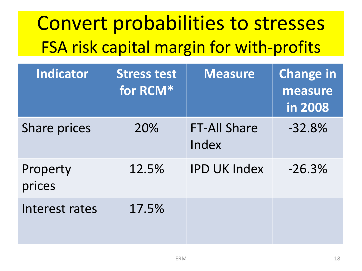| Indicator          | <b>Stress test</b><br>for RCM* | <b>Measure</b>               | <b>Change in</b><br>measure<br>in 2008 |
|--------------------|--------------------------------|------------------------------|----------------------------------------|
| Share prices       | 20%                            | <b>FT-All Share</b><br>Index | $-32.8%$                               |
| Property<br>prices | 12.5%                          | <b>IPD UK Index</b>          | $-26.3%$                               |
| Interest rates     | 17.5%                          |                              |                                        |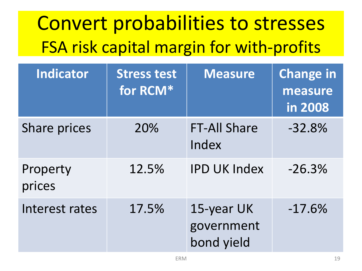| Indicator          | <b>Stress test</b><br>for RCM* | <b>Measure</b>                         | <b>Change in</b><br>measure<br>in 2008 |
|--------------------|--------------------------------|----------------------------------------|----------------------------------------|
| Share prices       | 20%                            | <b>FT-All Share</b><br>Index           | $-32.8%$                               |
| Property<br>prices | 12.5%                          | <b>IPD UK Index</b>                    | $-26.3%$                               |
| Interest rates     | 17.5%                          | 15-year UK<br>government<br>bond yield | $-17.6%$                               |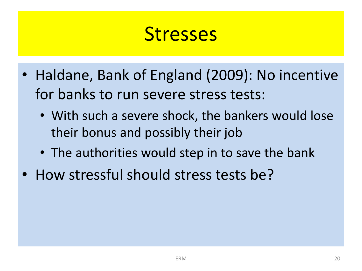#### **Stresses**

- Haldane, Bank of England (2009): No incentive for banks to run severe stress tests:
	- With such a severe shock, the bankers would lose their bonus and possibly their job
	- The authorities would step in to save the bank
- How stressful should stress tests be?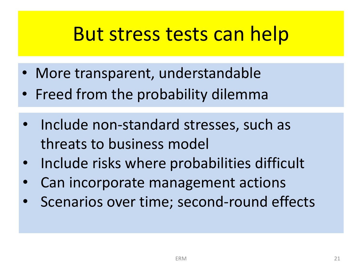#### But stress tests can help

- More transparent, understandable
- Freed from the probability dilemma
- Include non-standard stresses, such as threats to business model
- Include risks where probabilities difficult
- Can incorporate management actions
- Scenarios over time; second-round effects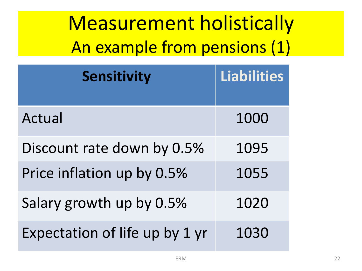Measurement holistically An example from pensions (1)

| <b>Sensitivity</b>             | Liabilities |
|--------------------------------|-------------|
| Actual                         | 1000        |
| Discount rate down by 0.5%     | 1095        |
| Price inflation up by 0.5%     | 1055        |
| Salary growth up by 0.5%       | 1020        |
| Expectation of life up by 1 yr | 1030        |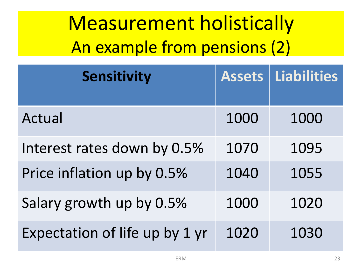Measurement holistically An example from pensions (2)

| Sensitivity                    | <b>Assets</b> | Liabilities |
|--------------------------------|---------------|-------------|
| Actual                         | 1000          | 1000        |
| Interest rates down by 0.5%    | 1070          | 1095        |
| Price inflation up by 0.5%     | 1040          | 1055        |
| Salary growth up by 0.5%       | 1000          | 1020        |
| Expectation of life up by 1 yr | 1020          | 1030        |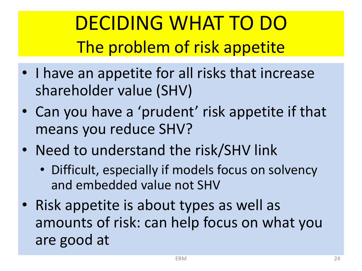DECIDING WHAT TO DO The problem of risk appetite

- I have an appetite for all risks that increase shareholder value (SHV)
- Can you have a 'prudent' risk appetite if that means you reduce SHV?
- Need to understand the risk/SHV link
	- Difficult, especially if models focus on solvency and embedded value not SHV
- Risk appetite is about types as well as amounts of risk: can help focus on what you are good at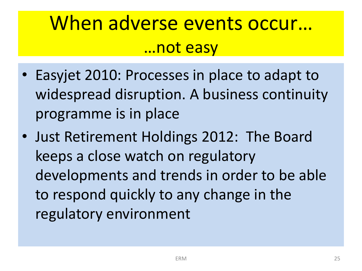#### When adverse events occur… …not easy

- Easyjet 2010: Processes in place to adapt to widespread disruption. A business continuity programme is in place
- Just Retirement Holdings 2012: The Board keeps a close watch on regulatory developments and trends in order to be able to respond quickly to any change in the regulatory environment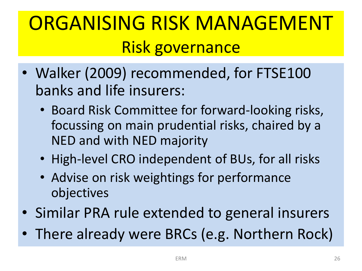### ORGANISING RISK MANAGEMENT Risk governance

- Walker (2009) recommended, for FTSE100 banks and life insurers:
	- Board Risk Committee for forward-looking risks, focussing on main prudential risks, chaired by a NED and with NED majority
	- High-level CRO independent of BUs, for all risks
	- Advise on risk weightings for performance objectives
- Similar PRA rule extended to general insurers
- There already were BRCs (e.g. Northern Rock)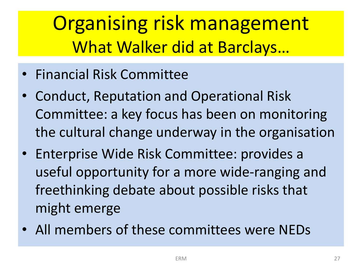Organising risk management What Walker did at Barclays…

- Financial Risk Committee
- Conduct, Reputation and Operational Risk Committee: a key focus has been on monitoring the cultural change underway in the organisation
- Enterprise Wide Risk Committee: provides a useful opportunity for a more wide-ranging and freethinking debate about possible risks that might emerge
- All members of these committees were NEDs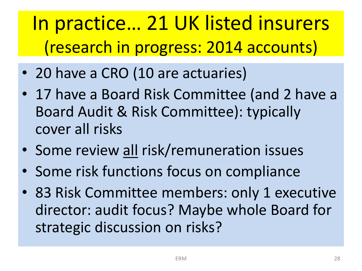#### In practice… 21 UK listed insurers (research in progress: 2014 accounts)

- 20 have a CRO (10 are actuaries)
- 17 have a Board Risk Committee (and 2 have a Board Audit & Risk Committee): typically cover all risks
- Some review all risk/remuneration issues
- Some risk functions focus on compliance
- 83 Risk Committee members: only 1 executive director: audit focus? Maybe whole Board for strategic discussion on risks?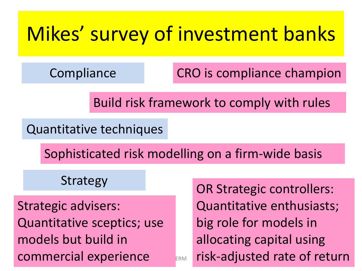#### Mikes' survey of investment banks

**Compliance** 

CRO is compliance champion

Build risk framework to comply with rules

Quantitative techniques

Sophisticated risk modelling on a firm-wide basis

Strategy

Strategic advisers: Quantitative sceptics; use models but build in commercial experience

ERM risk-adjusted rate of return OR Strategic controllers: Quantitative enthusiasts; big role for models in allocating capital using